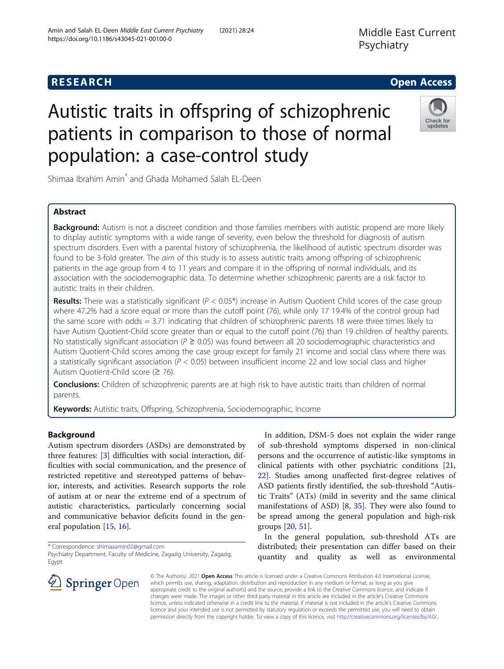# **RESEARCH CHE Open Access**

# Autistic traits in offspring of schizophrenic patients in comparison to those of normal population: a case-control study

Shimaa Ibrahim Amin\* and Ghada Mohamed Salah EL-Deen

# Abstract

Background: Autism is not a discreet condition and those families members with autistic propend are more likely to display autistic symptoms with a wide range of severity, even below the threshold for diagnosis of autism spectrum disorders. Even with a parental history of schizophrenia, the likelihood of autistic spectrum disorder was found to be 3-fold greater. The aim of this study is to assess autistic traits among offspring of schizophrenic patients in the age group from 4 to 11 years and compare it in the offspring of normal individuals, and its association with the sociodemographic data. To determine whether schizophrenic parents are a risk factor to autistic traits in their children.

**Results:** There was a statistically significant ( $P < 0.05^*$ ) increase in Autism Quotient Child scores of the case group where 47.2% had a score equal or more than the cutoff point (76), while only 17 19.4% of the control group had the same score with odds = 3.71 indicating that children of schizophrenic parents 18 were three times likely to have Autism Quotient-Child score greater than or equal to the cutoff point (76) than 19 children of healthy parents. No statistically significant association ( $P \ge 0.05$ ) was found between all 20 sociodemographic characteristics and Autism Quotient-Child scores among the case group except for family 21 income and social class where there was a statistically significant association ( $P < 0.05$ ) between insufficient income 22 and low social class and higher Autism Quotient-Child score (≥ 76).

**Conclusions:** Children of schizophrenic parents are at high risk to have autistic traits than children of normal parents.

Keywords: Autistic traits, Offspring, Schizophrenia, Sociodemographic, Income

# Background

Autism spectrum disorders (ASDs) are demonstrated by three features: [[3\]](#page-9-0) difficulties with social interaction, difficulties with social communication, and the presence of restricted repetitive and stereotyped patterns of behavior, interests, and activities. Research supports the role of autism at or near the extreme end of a spectrum of autistic characteristics, particularly concerning social and communicative behavior deficits found in the general population [[15,](#page-10-0) [16\]](#page-10-0).

\* Correspondence: [shimaaamin02@gmail.com](mailto:shimaaamin02@gmail.com)

In addition, DSM-5 does not explain the wider range of sub-threshold symptoms dispersed in non-clinical persons and the occurrence of autistic-like symptoms in clinical patients with other psychiatric conditions [[21](#page-10-0), [22\]](#page-10-0). Studies among unaffected first-degree relatives of ASD patients firstly identified, the sub-threshold "Autistic Traits" (ATs) (mild in severity and the same clinical manifestations of ASD)  $[8, 35]$  $[8, 35]$  $[8, 35]$  $[8, 35]$  $[8, 35]$ . They were also found to be spread among the general population and high-risk groups [[20](#page-10-0), [51](#page-11-0)].

In the general population, sub-threshold ATs are distributed; their presentation can differ based on their quantity and quality as well as environmental

© The Author(s). 2021 Open Access This article is licensed under a Creative Commons Attribution 4.0 International License, which permits use, sharing, adaptation, distribution and reproduction in any medium or format, as long as you give appropriate credit to the original author(s) and the source, provide a link to the Creative Commons licence, and indicate if changes were made. The images or other third party material in this article are included in the article's Creative Commons licence, unless indicated otherwise in a credit line to the material. If material is not included in the article's Creative Commons licence and your intended use is not permitted by statutory regulation or exceeds the permitted use, you will need to obtain permission directly from the copyright holder. To view a copy of this licence, visit <http://creativecommons.org/licenses/by/4.0/>.







Psychiatry Department, Faculty of Medicine, Zagazig University, Zagazig, **Egypt**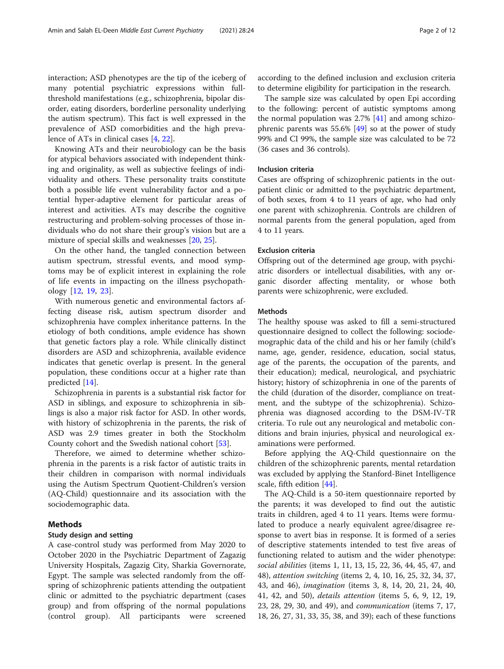interaction; ASD phenotypes are the tip of the iceberg of many potential psychiatric expressions within fullthreshold manifestations (e.g., schizophrenia, bipolar disorder, eating disorders, borderline personality underlying the autism spectrum). This fact is well expressed in the prevalence of ASD comorbidities and the high prevalence of ATs in clinical cases [\[4](#page-9-0), [22](#page-10-0)].

Knowing ATs and their neurobiology can be the basis for atypical behaviors associated with independent thinking and originality, as well as subjective feelings of individuality and others. These personality traits constitute both a possible life event vulnerability factor and a potential hyper-adaptive element for particular areas of interest and activities. ATs may describe the cognitive restructuring and problem-solving processes of those individuals who do not share their group's vision but are a mixture of special skills and weaknesses [\[20](#page-10-0), [25\]](#page-10-0).

On the other hand, the tangled connection between autism spectrum, stressful events, and mood symptoms may be of explicit interest in explaining the role of life events in impacting on the illness psychopathology [\[12](#page-10-0), [19](#page-10-0), [23\]](#page-10-0).

With numerous genetic and environmental factors affecting disease risk, autism spectrum disorder and schizophrenia have complex inheritance patterns. In the etiology of both conditions, ample evidence has shown that genetic factors play a role. While clinically distinct disorders are ASD and schizophrenia, available evidence indicates that genetic overlap is present. In the general population, these conditions occur at a higher rate than predicted [\[14\]](#page-10-0).

Schizophrenia in parents is a substantial risk factor for ASD in siblings, and exposure to schizophrenia in siblings is also a major risk factor for ASD. In other words, with history of schizophrenia in the parents, the risk of ASD was 2.9 times greater in both the Stockholm County cohort and the Swedish national cohort [\[53\]](#page-11-0).

Therefore, we aimed to determine whether schizophrenia in the parents is a risk factor of autistic traits in their children in comparison with normal individuals using the Autism Spectrum Quotient-Children's version (AQ-Child) questionnaire and its association with the sociodemographic data.

# Methods

#### Study design and setting

A case-control study was performed from May 2020 to October 2020 in the Psychiatric Department of Zagazig University Hospitals, Zagazig City, Sharkia Governorate, Egypt. The sample was selected randomly from the offspring of schizophrenic patients attending the outpatient clinic or admitted to the psychiatric department (cases group) and from offspring of the normal populations (control group). All participants were screened

according to the defined inclusion and exclusion criteria to determine eligibility for participation in the research.

The sample size was calculated by open Epi according to the following: percent of autistic symptoms among the normal population was 2.7% [\[41\]](#page-10-0) and among schizophrenic parents was 55.6%  $[49]$  so at the power of study 99% and CI 99%, the sample size was calculated to be 72 (36 cases and 36 controls).

#### Inclusion criteria

Cases are offspring of schizophrenic patients in the outpatient clinic or admitted to the psychiatric department, of both sexes, from 4 to 11 years of age, who had only one parent with schizophrenia. Controls are children of normal parents from the general population, aged from 4 to 11 years.

#### Exclusion criteria

Offspring out of the determined age group, with psychiatric disorders or intellectual disabilities, with any organic disorder affecting mentality, or whose both parents were schizophrenic, were excluded.

#### Methods

The healthy spouse was asked to fill a semi-structured questionnaire designed to collect the following: sociodemographic data of the child and his or her family (child's name, age, gender, residence, education, social status, age of the parents, the occupation of the parents, and their education); medical, neurological, and psychiatric history; history of schizophrenia in one of the parents of the child (duration of the disorder, compliance on treatment, and the subtype of the schizophrenia). Schizophrenia was diagnosed according to the DSM-IV-TR criteria. To rule out any neurological and metabolic conditions and brain injuries, physical and neurological examinations were performed.

Before applying the AQ-Child questionnaire on the children of the schizophrenic parents, mental retardation was excluded by applying the Stanford-Binet Intelligence scale, fifth edition [[44](#page-10-0)].

The AQ-Child is a 50-item questionnaire reported by the parents; it was developed to find out the autistic traits in children, aged 4 to 11 years. Items were formulated to produce a nearly equivalent agree/disagree response to avert bias in response. It is formed of a series of descriptive statements intended to test five areas of functioning related to autism and the wider phenotype: social abilities (items 1, 11, 13, 15, 22, 36, 44, 45, 47, and 48), attention switching (items 2, 4, 10, 16, 25, 32, 34, 37, 43, and 46), imagination (items 3, 8, 14, 20, 21, 24, 40, 41, 42, and 50), details attention (items 5, 6, 9, 12, 19, 23, 28, 29, 30, and 49), and communication (items 7, 17, 18, 26, 27, 31, 33, 35, 38, and 39); each of these functions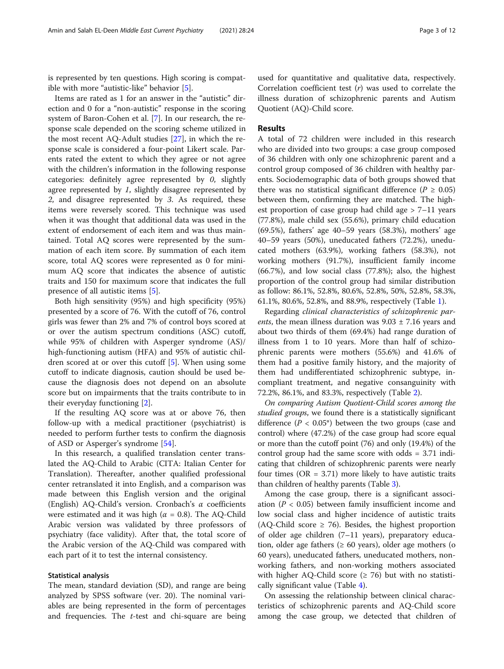is represented by ten questions. High scoring is compatible with more "autistic-like" behavior [\[5\]](#page-10-0).

Items are rated as 1 for an answer in the "autistic" direction and 0 for a "non-autistic" response in the scoring system of Baron-Cohen et al. [[7\]](#page-10-0). In our research, the response scale depended on the scoring scheme utilized in the most recent AQ-Adult studies [[27\]](#page-10-0), in which the response scale is considered a four-point Likert scale. Parents rated the extent to which they agree or not agree with the children's information in the following response categories: definitely agree represented by 0, slightly agree represented by 1, slightly disagree represented by 2, and disagree represented by 3. As required, these items were reversely scored. This technique was used when it was thought that additional data was used in the extent of endorsement of each item and was thus maintained. Total AQ scores were represented by the summation of each item score. By summation of each item score, total AQ scores were represented as 0 for minimum AQ score that indicates the absence of autistic traits and 150 for maximum score that indicates the full presence of all autistic items [\[5](#page-10-0)].

Both high sensitivity (95%) and high specificity (95%) presented by a score of 76. With the cutoff of 76, control girls was fewer than 2% and 7% of control boys scored at or over the autism spectrum conditions (ASC) cutoff, while 95% of children with Asperger syndrome (AS)/ high-functioning autism (HFA) and 95% of autistic children scored at or over this cutoff [[5\]](#page-10-0). When using some cutoff to indicate diagnosis, caution should be used because the diagnosis does not depend on an absolute score but on impairments that the traits contribute to in their everyday functioning [\[2](#page-9-0)].

If the resulting AQ score was at or above 76, then follow-up with a medical practitioner (psychiatrist) is needed to perform further tests to confirm the diagnosis of ASD or Asperger's syndrome [\[54](#page-11-0)].

In this research, a qualified translation center translated the AQ-Child to Arabic (CITA: Italian Center for Translation). Thereafter, another qualified professional center retranslated it into English, and a comparison was made between this English version and the original (English) AQ-Child's version. Cronbach's α coefficients were estimated and it was high ( $\alpha = 0.8$ ). The AQ-Child Arabic version was validated by three professors of psychiatry (face validity). After that, the total score of the Arabic version of the AQ-Child was compared with each part of it to test the internal consistency.

#### Statistical analysis

The mean, standard deviation (SD), and range are being analyzed by SPSS software (ver. 20). The nominal variables are being represented in the form of percentages and frequencies. The  $t$ -test and chi-square are being

used for quantitative and qualitative data, respectively. Correlation coefficient test  $(r)$  was used to correlate the illness duration of schizophrenic parents and Autism Quotient (AQ)-Child score.

#### Results

A total of 72 children were included in this research who are divided into two groups: a case group composed of 36 children with only one schizophrenic parent and a control group composed of 36 children with healthy parents. Sociodemographic data of both groups showed that there was no statistical significant difference ( $P \ge 0.05$ ) between them, confirming they are matched. The highest proportion of case group had child age > 7–11 years (77.8%), male child sex (55.6%), primary child education (69.5%), fathers' age 40–59 years (58.3%), mothers' age 40–59 years (50%), uneducated fathers (72.2%), uneducated mothers (63.9%), working fathers (58.3%), not working mothers (91.7%), insufficient family income (66.7%), and low social class (77.8%); also, the highest proportion of the control group had similar distribution as follow: 86.1%, 52.8%, 80.6%, 52.8%, 50%, 52.8%, 58.3%, 61.1%, 80.6%, 52.8%, and 88.9%, respectively (Table [1](#page-3-0)).

Regarding clinical characteristics of schizophrenic parents, the mean illness duration was  $9.03 \pm 7.16$  years and about two thirds of them (69.4%) had range duration of illness from 1 to 10 years. More than half of schizophrenic parents were mothers (55.6%) and 41.6% of them had a positive family history, and the majority of them had undifferentiated schizophrenic subtype, incompliant treatment, and negative consanguinity with 72.2%, 86.1%, and 83.3%, respectively (Table [2\)](#page-4-0).

On comparing Autism Quotient-Child scores among the studied groups, we found there is a statistically significant difference ( $P < 0.05^*$ ) between the two groups (case and control) where (47.2%) of the case group had score equal or more than the cutoff point (76) and only (19.4%) of the control group had the same score with odds = 3.71 indicating that children of schizophrenic parents were nearly four times ( $OR = 3.71$ ) more likely to have autistic traits than children of healthy parents (Table [3\)](#page-4-0).

Among the case group, there is a significant association ( $P < 0.05$ ) between family insufficient income and low social class and higher incidence of autistic traits (AQ-Child score  $\geq$  76). Besides, the highest proportion of older age children (7–11 years), preparatory education, older age fathers ( $\geq 60$  years), older age mothers (o 60 years), uneducated fathers, uneducated mothers, nonworking fathers, and non-working mothers associated with higher AQ-Child score ( $\geq$  76) but with no statistically significant value (Table [4\)](#page-5-0).

On assessing the relationship between clinical characteristics of schizophrenic parents and AQ-Child score among the case group, we detected that children of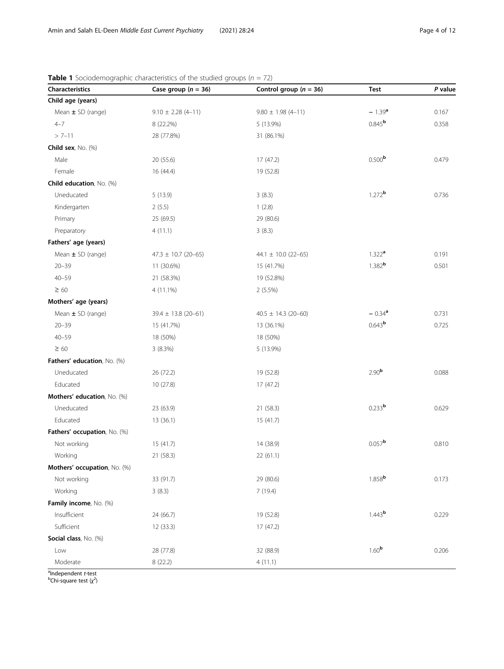| Characteristics              | Case group ( $n = 36$ ) | Control group ( $n = 36$ ) | Test                 | P value |
|------------------------------|-------------------------|----------------------------|----------------------|---------|
| Child age (years)            |                         |                            |                      |         |
| Mean ± SD (range)            | $9.10 \pm 2.28(4 - 11)$ | $9.80 \pm 1.98 (4 - 11)$   | $-1.39a$             | 0.167   |
| $4 - 7$                      | 8 (22.2%)               | 5 (13.9%)                  | $0.845^{\rm b}$      | 0.358   |
| $> 7 - 11$                   | 28 (77.8%)              | 31 (86.1%)                 |                      |         |
| Child sex, No. (%)           |                         |                            |                      |         |
| Male                         | 20 (55.6)               | 17(47.2)                   | 0.500 <sup>b</sup>   | 0.479   |
| Female                       | 16 (44.4)               | 19 (52.8)                  |                      |         |
| Child education, No. (%)     |                         |                            |                      |         |
| Uneducated                   | 5(13.9)                 | 3(8.3)                     | $1.272$ <b>b</b>     | 0.736   |
| Kindergarten                 | 2(5.5)                  | 1(2.8)                     |                      |         |
| Primary                      | 25 (69.5)               | 29 (80.6)                  |                      |         |
| Preparatory                  | 4(11.1)                 | 3(8.3)                     |                      |         |
| Fathers' age (years)         |                         |                            |                      |         |
| Mean ± SD (range)            | $47.3 \pm 10.7$ (20-65) | 44.1 $\pm$ 10.0 (22-65)    | $1.322^{\text{a}}$   | 0.191   |
| $20 - 39$                    | 11 (30.6%)              | 15 (41.7%)                 | 1.382 <sup>b</sup>   | 0.501   |
| $40 - 59$                    | 21 (58.3%)              | 19 (52.8%)                 |                      |         |
| $\geq 60$                    | $4(11.1\%)$             | 2(5.5%)                    |                      |         |
| Mothers' age (years)         |                         |                            |                      |         |
| Mean ± SD (range)            | $39.4 \pm 13.8$ (20-61) | 40.5 $\pm$ 14.3 (20-60)    | $-0.34$ <sup>a</sup> | 0.731   |
| $20 - 39$                    | 15 (41.7%)              | 13 (36.1%)                 | $0.643^b$            | 0.725   |
| $40 - 59$                    | 18 (50%)                | 18 (50%)                   |                      |         |
| $\geq 60$                    | 3(8.3%)                 | 5 (13.9%)                  |                      |         |
| Fathers' education, No. (%)  |                         |                            |                      |         |
| Uneducated                   | 26 (72.2)               | 19 (52.8)                  | 2.90 <sup>b</sup>    | 0.088   |
| Educated                     | 10(27.8)                | 17(47.2)                   |                      |         |
| Mothers' education, No. (%)  |                         |                            |                      |         |
| Uneducated                   | 23 (63.9)               | 21 (58.3)                  | 0.233 <sup>b</sup>   | 0.629   |
| Educated                     | 13(36.1)                | 15(41.7)                   |                      |         |
| Fathers' occupation, No. (%) |                         |                            |                      |         |
| Not working                  | 15(41.7)                | 14 (38.9)                  | 0.057 <sup>b</sup>   | 0.810   |
| Working                      | 21(58.3)                | 22(61.1)                   |                      |         |
| Mothers' occupation, No. (%) |                         |                            |                      |         |
| Not working                  | 33 (91.7)               | 29 (80.6)                  | $1.858$ <sup>b</sup> | 0.173   |
| Working                      | 3(8.3)                  | 7(19.4)                    |                      |         |
| Family income, No. (%)       |                         |                            |                      |         |
| Insufficient                 | 24 (66.7)               | 19 (52.8)                  | 1.443 <sup>b</sup>   | 0.229   |
| Sufficient                   | 12(33.3)                | 17(47.2)                   |                      |         |
| Social class, No. (%)        |                         |                            |                      |         |
| Low                          | 28 (77.8)               | 32 (88.9)                  | 1.60 <sup>b</sup>    | 0.206   |
| Moderate                     | 8 (22.2)                | 4(11.1)                    |                      |         |

<span id="page-3-0"></span>**Table 1** Sociodemographic characteristics of the studied groups ( $n = 72$ )

<sup>a</sup>Independent *t*-test<br><sup>b</sup>Chi-square test (χ<sup>2</sup>)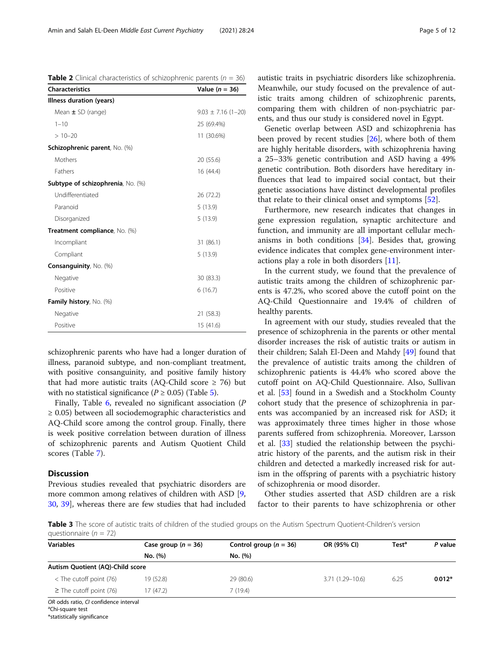<span id="page-4-0"></span>**Table 2** Clinical characteristics of schizophrenic parents ( $n = 36$ )

| <b>Characteristics</b>            | Value $(n = 36)$       |  |
|-----------------------------------|------------------------|--|
| Illness duration (years)          |                        |  |
| Mean $\pm$ SD (range)             | $9.03 \pm 7.16$ (1-20) |  |
| $1 - 10$                          | 25 (69.4%)             |  |
| $>10-20$                          | 11 (30.6%)             |  |
| Schizophrenic parent, No. (%)     |                        |  |
| Mothers                           | 20 (55.6)              |  |
| <b>Fathers</b>                    | 16 (44.4)              |  |
| Subtype of schizophrenia, No. (%) |                        |  |
| Undifferentiated                  | 26 (72.2)              |  |
| Paranoid                          | 5(13.9)                |  |
| Disorganized                      | 5(13.9)                |  |
| Treatment compliance, No. (%)     |                        |  |
| Incompliant                       | 31 (86.1)              |  |
| Compliant                         | 5(13.9)                |  |
| Consanguinity, No. (%)            |                        |  |
| Negative                          | 30 (83.3)              |  |
| Positive                          | 6(16.7)                |  |
| Family history, No. (%)           |                        |  |
| Negative                          | 21 (58.3)              |  |
| Positive                          | 15(41.6)               |  |

schizophrenic parents who have had a longer duration of illness, paranoid subtype, and non-compliant treatment, with positive consanguinity, and positive family history that had more autistic traits (AQ-Child score  $\geq$  76) but with no statistical significance ( $P \ge 0.05$ ) (Table [5\)](#page-6-0).

Finally, Table [6,](#page-7-0) revealed no significant association (P ≥ 0.05) between all sociodemographic characteristics and AQ-Child score among the control group. Finally, there is week positive correlation between duration of illness of schizophrenic parents and Autism Quotient Child scores (Table [7\)](#page-8-0).

#### **Discussion**

Previous studies revealed that psychiatric disorders are more common among relatives of children with ASD [\[9](#page-10-0), [30,](#page-10-0) [39](#page-10-0)], whereas there are few studies that had included autistic traits in psychiatric disorders like schizophrenia. Meanwhile, our study focused on the prevalence of autistic traits among children of schizophrenic parents, comparing them with children of non-psychiatric parents, and thus our study is considered novel in Egypt.

Genetic overlap between ASD and schizophrenia has been proved by recent studies [[26](#page-10-0)], where both of them are highly heritable disorders, with schizophrenia having a 25–33% genetic contribution and ASD having a 49% genetic contribution. Both disorders have hereditary influences that lead to impaired social contact, but their genetic associations have distinct developmental profiles that relate to their clinical onset and symptoms [\[52\]](#page-11-0).

Furthermore, new research indicates that changes in gene expression regulation, synaptic architecture and function, and immunity are all important cellular mechanisms in both conditions [[34](#page-10-0)]. Besides that, growing evidence indicates that complex gene-environment interactions play a role in both disorders [\[11\]](#page-10-0).

In the current study, we found that the prevalence of autistic traits among the children of schizophrenic parents is 47.2%, who scored above the cutoff point on the AQ-Child Questionnaire and 19.4% of children of healthy parents.

In agreement with our study, studies revealed that the presence of schizophrenia in the parents or other mental disorder increases the risk of autistic traits or autism in their children; Salah El-Deen and Mahdy [\[49](#page-11-0)] found that the prevalence of autistic traits among the children of schizophrenic patients is 44.4% who scored above the cutoff point on AQ-Child Questionnaire. Also, Sullivan et al. [\[53](#page-11-0)] found in a Swedish and a Stockholm County cohort study that the presence of schizophrenia in parents was accompanied by an increased risk for ASD; it was approximately three times higher in those whose parents suffered from schizophrenia. Moreover, Larsson et al. [\[33\]](#page-10-0) studied the relationship between the psychiatric history of the parents, and the autism risk in their children and detected a markedly increased risk for autism in the offspring of parents with a psychiatric history of schizophrenia or mood disorder.

Other studies asserted that ASD children are a risk factor to their parents to have schizophrenia or other

Table 3 The score of autistic traits of children of the studied groups on the Autism Spectrum Quotient-Children's version questionnaire ( $n = 72$ )

| <b>Variables</b>                      | Case group $(n = 36)$ | Control group ( $n = 36$ ) | OR (95% CI)         | Test <sup>a</sup> | P value  |
|---------------------------------------|-----------------------|----------------------------|---------------------|-------------------|----------|
|                                       | No. (%)               | No. (%)                    |                     |                   |          |
| Autism Quotient (AQ)-Child score      |                       |                            |                     |                   |          |
| $<$ The cutoff point (76)             | 19 (52.8)             | 29 (80.6)                  | $3.71(1.29 - 10.6)$ | 6.25              | $0.012*$ |
| $\geq$ The cutoff point (76)          | 17(47.2)              | 7 (19.4)                   |                     |                   |          |
| OR odds ratio. CI confidence interval |                       |                            |                     |                   |          |

OR odds ratio, CI confidence interval<br><sup>a</sup>Chi-square test

\*statistically significance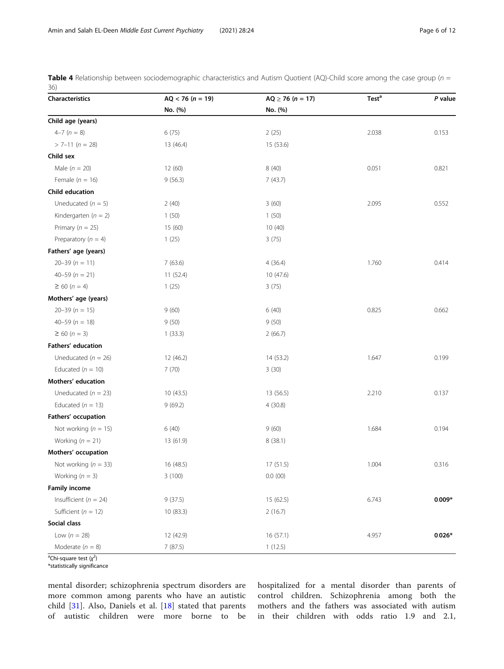<span id="page-5-0"></span>**Table 4** Relationship between sociodemographic characteristics and Autism Quotient (AQ)-Child score among the case group ( $n =$ 36)

| Characteristics           | $AQ < 76 (n = 19)$ | $AQ \ge 76 (n = 17)$ | <b>Test<sup>a</sup></b> | P value  |
|---------------------------|--------------------|----------------------|-------------------------|----------|
|                           | No. (%)            | No. (%)              |                         |          |
| Child age (years)         |                    |                      |                         |          |
| $4-7(n = 8)$              | 6(75)              | 2(25)                | 2.038                   | 0.153    |
| $> 7 - 11$ (n = 28)       | 13 (46.4)          | 15 (53.6)            |                         |          |
| Child sex                 |                    |                      |                         |          |
| Male $(n = 20)$           | 12(60)             | 8(40)                | 0.051                   | 0.821    |
| Female ( $n = 16$ )       | 9(56.3)            | 7(43.7)              |                         |          |
| Child education           |                    |                      |                         |          |
| Uneducated ( $n = 5$ )    | 2(40)              | 3(60)                | 2.095                   | 0.552    |
| Kindergarten ( $n = 2$ )  | 1(50)              | 1(50)                |                         |          |
| Primary ( $n = 25$ )      | 15(60)             | 10(40)               |                         |          |
| Preparatory ( $n = 4$ )   | 1(25)              | 3(75)                |                         |          |
| Fathers' age (years)      |                    |                      |                         |          |
| $20 - 39 (n = 11)$        | 7(63.6)            | 4(36.4)              | 1.760                   | 0.414    |
| $40 - 59$ ( $n = 21$ )    | 11(52.4)           | 10(47.6)             |                         |          |
| $\geq 60 (n = 4)$         | 1(25)              | 3(75)                |                         |          |
| Mothers' age (years)      |                    |                      |                         |          |
| $20 - 39$ ( $n = 15$ )    | 9(60)              | 6(40)                | 0.825                   | 0.662    |
| 40-59 ( $n = 18$ )        | 9(50)              | 9(50)                |                         |          |
| $\geq 60 (n = 3)$         | 1(33.3)            | 2(66.7)              |                         |          |
| Fathers' education        |                    |                      |                         |          |
| Uneducated ( $n = 26$ )   | 12 (46.2)          | 14 (53.2)            | 1.647                   | 0.199    |
| Educated ( $n = 10$ )     | 7(70)              | 3(30)                |                         |          |
| Mothers' education        |                    |                      |                         |          |
| Uneducated ( $n = 23$ )   | 10(43.5)           | 13 (56.5)            | 2.210                   | 0.137    |
| Educated ( $n = 13$ )     | 9(69.2)            | 4(30.8)              |                         |          |
| Fathers' occupation       |                    |                      |                         |          |
| Not working $(n = 15)$    | 6 (40)             | 9(60)                | 1.684                   | 0.194    |
| Working $(n = 21)$        | 13 (61.9)          | 8(38.1)              |                         |          |
| Mothers' occupation       |                    |                      |                         |          |
| Not working ( $n = 33$ )  | 16 (48.5)          | 17 (51.5)            | 1.004                   | 0.316    |
| Working $(n = 3)$         | 3(100)             | 0.0(00)              |                         |          |
| <b>Family income</b>      |                    |                      |                         |          |
| Insufficient ( $n = 24$ ) | 9(37.5)            | 15(62.5)             | 6.743                   | $0.009*$ |
| Sufficient ( $n = 12$ )   | 10(83.3)           | 2(16.7)              |                         |          |
| Social class              |                    |                      |                         |          |
| Low $(n = 28)$            | 12 (42.9)          | 16(57.1)             | 4.957                   | $0.026*$ |
| Moderate $(n = 8)$        | 7 (87.5)           | 1(12.5)              |                         |          |

<sup>a</sup>Chi-square test (χ<sup>2</sup>)

\*statistically significance

mental disorder; schizophrenia spectrum disorders are more common among parents who have an autistic child [[31\]](#page-10-0). Also, Daniels et al. [\[18](#page-10-0)] stated that parents of autistic children were more borne to be

hospitalized for a mental disorder than parents of control children. Schizophrenia among both the mothers and the fathers was associated with autism in their children with odds ratio 1.9 and 2.1,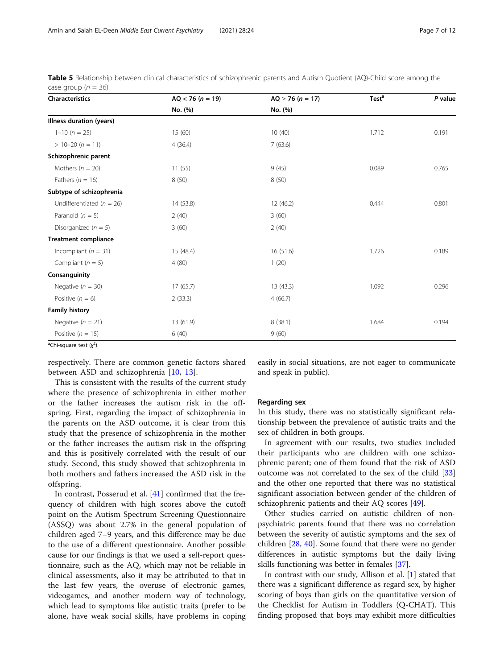<span id="page-6-0"></span>

| Table 5 Relationship between clinical characteristics of schizophrenic parents and Autism Quotient (AQ)-Child score among the |  |  |
|-------------------------------------------------------------------------------------------------------------------------------|--|--|
| case group ( $n = 36$ )                                                                                                       |  |  |

| Characteristics               | $AQ < 76 (n = 19)$ | $AQ \ge 76 (n = 17)$ | Test <sup>a</sup> | P value |
|-------------------------------|--------------------|----------------------|-------------------|---------|
|                               | No. (%)            | No. (%)              |                   |         |
| Illness duration (years)      |                    |                      |                   |         |
| $1-10(n = 25)$                | 15(60)             | 10(40)               | 1.712             | 0.191   |
| $> 10 - 20 (n = 11)$          | 4(36.4)            | 7(63.6)              |                   |         |
| Schizophrenic parent          |                    |                      |                   |         |
| Mothers ( $n = 20$ )          | 11(55)             | 9(45)                | 0.089             | 0.765   |
| Fathers ( $n = 16$ )          | 8(50)              | 8(50)                |                   |         |
| Subtype of schizophrenia      |                    |                      |                   |         |
| Undifferentiated ( $n = 26$ ) | 14 (53.8)          | 12(46.2)             | 0.444             | 0.801   |
| Paranoid ( $n = 5$ )          | 2(40)              | 3(60)                |                   |         |
| Disorganized ( $n = 5$ )      | 3(60)              | 2(40)                |                   |         |
| <b>Treatment compliance</b>   |                    |                      |                   |         |
| Incompliant ( $n = 31$ )      | 15 (48.4)          | 16(51.6)             | 1.726             | 0.189   |
| Compliant ( $n = 5$ )         | 4(80)              | 1(20)                |                   |         |
| Consanguinity                 |                    |                      |                   |         |
| Negative ( $n = 30$ )         | 17(65.7)           | 13(43.3)             | 1.092             | 0.296   |
| Positive $(n = 6)$            | 2(33.3)            | 4(66.7)              |                   |         |
| <b>Family history</b>         |                    |                      |                   |         |
| Negative ( $n = 21$ )         | 13 (61.9)          | 8(38.1)              | 1.684             | 0.194   |
| Positive ( $n = 15$ )         | 6(40)              | 9(60)                |                   |         |

<sup>a</sup>Chi-square test (χ<sup>2</sup>)

respectively. There are common genetic factors shared between ASD and schizophrenia [\[10](#page-10-0), [13](#page-10-0)].

This is consistent with the results of the current study where the presence of schizophrenia in either mother or the father increases the autism risk in the offspring. First, regarding the impact of schizophrenia in the parents on the ASD outcome, it is clear from this study that the presence of schizophrenia in the mother or the father increases the autism risk in the offspring and this is positively correlated with the result of our study. Second, this study showed that schizophrenia in both mothers and fathers increased the ASD risk in the offspring.

In contrast, Posserud et al. [\[41](#page-10-0)] confirmed that the frequency of children with high scores above the cutoff point on the Autism Spectrum Screening Questionnaire (ASSQ) was about 2.7% in the general population of children aged 7–9 years, and this difference may be due to the use of a different questionnaire. Another possible cause for our findings is that we used a self-report questionnaire, such as the AQ, which may not be reliable in clinical assessments, also it may be attributed to that in the last few years, the overuse of electronic games, videogames, and another modern way of technology, which lead to symptoms like autistic traits (prefer to be alone, have weak social skills, have problems in coping easily in social situations, are not eager to communicate and speak in public).

#### Regarding sex

In this study, there was no statistically significant relationship between the prevalence of autistic traits and the sex of children in both groups.

In agreement with our results, two studies included their participants who are children with one schizophrenic parent; one of them found that the risk of ASD outcome was not correlated to the sex of the child [[33](#page-10-0)] and the other one reported that there was no statistical significant association between gender of the children of schizophrenic patients and their AQ scores [[49\]](#page-11-0).

Other studies carried on autistic children of nonpsychiatric parents found that there was no correlation between the severity of autistic symptoms and the sex of children [[28](#page-10-0), [40\]](#page-10-0). Some found that there were no gender differences in autistic symptoms but the daily living skills functioning was better in females [\[37\]](#page-10-0).

In contrast with our study, Allison et al. [\[1](#page-9-0)] stated that there was a significant difference as regard sex, by higher scoring of boys than girls on the quantitative version of the Checklist for Autism in Toddlers (Q-CHAT). This finding proposed that boys may exhibit more difficulties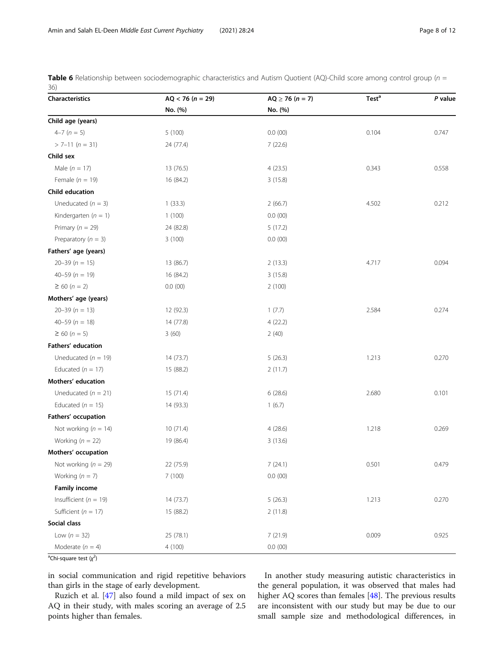<span id="page-7-0"></span>**Table 6** Relationship between sociodemographic characteristics and Autism Quotient (AQ)-Child score among control group ( $n =$ 36)

| Characteristics           | $AQ < 76 (n = 29)$ | $AQ \ge 76 (n = 7)$ | Test <sup>a</sup> | P value |
|---------------------------|--------------------|---------------------|-------------------|---------|
|                           | No. (%)            | No. (%)             |                   |         |
| Child age (years)         |                    |                     |                   |         |
| $4-7(n=5)$                | 5(100)             | 0.0(00)             | 0.104             | 0.747   |
| $> 7-11 (n = 31)$         | 24 (77.4)          | 7(22.6)             |                   |         |
| Child sex                 |                    |                     |                   |         |
| Male ( $n = 17$ )         | 13 (76.5)          | 4(23.5)             | 0.343             | 0.558   |
| Female $(n = 19)$         | 16 (84.2)          | 3(15.8)             |                   |         |
| Child education           |                    |                     |                   |         |
| Uneducated $(n = 3)$      | 1(33.3)            | 2(66.7)             | 4.502             | 0.212   |
| Kindergarten ( $n = 1$ )  | 1(100)             | 0.0(00)             |                   |         |
| Primary ( $n = 29$ )      | 24 (82.8)          | 5(17.2)             |                   |         |
| Preparatory ( $n = 3$ )   | 3(100)             | 0.0(00)             |                   |         |
| Fathers' age (years)      |                    |                     |                   |         |
| $20 - 39 (n = 15)$        | 13 (86.7)          | 2(13.3)             | 4.717             | 0.094   |
| $40 - 59$ ( $n = 19$ )    | 16 (84.2)          | 3(15.8)             |                   |         |
| $\geq 60 (n = 2)$         | 0.0(00)            | 2(100)              |                   |         |
| Mothers' age (years)      |                    |                     |                   |         |
| $20 - 39 (n = 13)$        | 12 (92.3)          | 1(7.7)              | 2.584             | 0.274   |
| $40 - 59$ ( $n = 18$ )    | 14 (77.8)          | 4(22.2)             |                   |         |
| $\geq 60 (n = 5)$         | 3(60)              | 2(40)               |                   |         |
| Fathers' education        |                    |                     |                   |         |
| Uneducated ( $n = 19$ )   | 14(73.7)           | 5(26.3)             | 1.213             | 0.270   |
| Educated ( $n = 17$ )     | 15 (88.2)          | 2(11.7)             |                   |         |
| Mothers' education        |                    |                     |                   |         |
| Uneducated ( $n = 21$ )   | 15(71.4)           | 6(28.6)             | 2.680             | 0.101   |
| Educated ( $n = 15$ )     | 14 (93.3)          | 1(6.7)              |                   |         |
| Fathers' occupation       |                    |                     |                   |         |
| Not working ( $n = 14$ )  | 10(71.4)           | 4(28.6)             | 1.218             | 0.269   |
| Working ( $n = 22$ )      | 19 (86.4)          | 3(13.6)             |                   |         |
| Mothers' occupation       |                    |                     |                   |         |
| Not working ( $n = 29$ )  | 22 (75.9)          | 7(24.1)             | 0.501             | 0.479   |
| Working $(n = 7)$         | 7 (100)            | 0.0(00)             |                   |         |
| <b>Family income</b>      |                    |                     |                   |         |
| Insufficient ( $n = 19$ ) | 14 (73.7)          | 5(26.3)             | 1.213             | 0.270   |
| Sufficient ( $n = 17$ )   | 15 (88.2)          | 2(11.8)             |                   |         |
| Social class              |                    |                     |                   |         |
| Low $(n = 32)$            | 25 (78.1)          | 7(21.9)             | 0.009             | 0.925   |
| Moderate $(n = 4)$        | 4(100)             | 0.0(00)             |                   |         |

<sup>a</sup>Chi-square test (χ<sup>2</sup>)

in social communication and rigid repetitive behaviors than girls in the stage of early development.

Ruzich et al. [\[47](#page-11-0)] also found a mild impact of sex on AQ in their study, with males scoring an average of 2.5 points higher than females.

In another study measuring autistic characteristics in the general population, it was observed that males had higher AQ scores than females [\[48\]](#page-11-0). The previous results are inconsistent with our study but may be due to our small sample size and methodological differences, in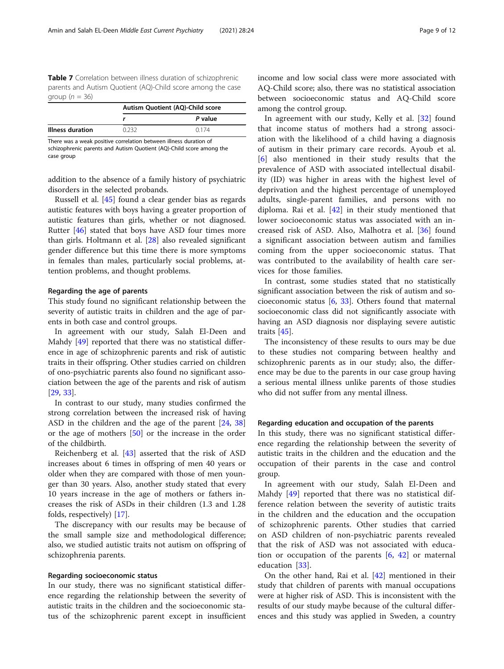<span id="page-8-0"></span>Table 7 Correlation between illness duration of schizophrenic parents and Autism Quotient (AQ)-Child score among the case group ( $n = 36$ )

|                         | Autism Quotient (AQ)-Child score |         |
|-------------------------|----------------------------------|---------|
|                         |                                  | P value |
| <b>Illness duration</b> | በ ን3ን                            | 0174    |

There was a weak positive correlation between illness duration of schizophrenic parents and Autism Quotient (AQ)-Child score among the case group

addition to the absence of a family history of psychiatric disorders in the selected probands.

Russell et al. [\[45](#page-10-0)] found a clear gender bias as regards autistic features with boys having a greater proportion of autistic features than girls, whether or not diagnosed. Rutter [[46](#page-11-0)] stated that boys have ASD four times more than girls. Holtmann et al. [[28\]](#page-10-0) also revealed significant gender difference but this time there is more symptoms in females than males, particularly social problems, attention problems, and thought problems.

#### Regarding the age of parents

This study found no significant relationship between the severity of autistic traits in children and the age of parents in both case and control groups.

In agreement with our study, Salah El-Deen and Mahdy [[49\]](#page-11-0) reported that there was no statistical difference in age of schizophrenic parents and risk of autistic traits in their offspring. Other studies carried on children of ono-psychiatric parents also found no significant association between the age of the parents and risk of autism [[29,](#page-10-0) [33\]](#page-10-0).

In contrast to our study, many studies confirmed the strong correlation between the increased risk of having ASD in the children and the age of the parent [[24](#page-10-0), [38](#page-10-0)] or the age of mothers [\[50](#page-11-0)] or the increase in the order of the childbirth.

Reichenberg et al. [[43\]](#page-10-0) asserted that the risk of ASD increases about 6 times in offspring of men 40 years or older when they are compared with those of men younger than 30 years. Also, another study stated that every 10 years increase in the age of mothers or fathers increases the risk of ASDs in their children (1.3 and 1.28 folds, respectively) [\[17\]](#page-10-0).

The discrepancy with our results may be because of the small sample size and methodological difference; also, we studied autistic traits not autism on offspring of schizophrenia parents.

# Regarding socioeconomic status

In our study, there was no significant statistical difference regarding the relationship between the severity of autistic traits in the children and the socioeconomic status of the schizophrenic parent except in insufficient

income and low social class were more associated with AQ-Child score; also, there was no statistical association between socioeconomic status and AQ-Child score among the control group.

In agreement with our study, Kelly et al. [[32\]](#page-10-0) found that income status of mothers had a strong association with the likelihood of a child having a diagnosis of autism in their primary care records. Ayoub et al. [[6](#page-10-0)] also mentioned in their study results that the prevalence of ASD with associated intellectual disability (ID) was higher in areas with the highest level of deprivation and the highest percentage of unemployed adults, single-parent families, and persons with no diploma. Rai et al.  $[42]$  $[42]$  in their study mentioned that lower socioeconomic status was associated with an increased risk of ASD. Also, Malhotra et al. [[36](#page-10-0)] found a significant association between autism and families coming from the upper socioeconomic status. That was contributed to the availability of health care services for those families.

In contrast, some studies stated that no statistically significant association between the risk of autism and socioeconomic status [\[6](#page-10-0), [33](#page-10-0)]. Others found that maternal socioeconomic class did not significantly associate with having an ASD diagnosis nor displaying severe autistic traits [[45](#page-10-0)].

The inconsistency of these results to ours may be due to these studies not comparing between healthy and schizophrenic parents as in our study; also, the difference may be due to the parents in our case group having a serious mental illness unlike parents of those studies who did not suffer from any mental illness.

#### Regarding education and occupation of the parents

In this study, there was no significant statistical difference regarding the relationship between the severity of autistic traits in the children and the education and the occupation of their parents in the case and control group.

In agreement with our study, Salah El-Deen and Mahdy [\[49](#page-11-0)] reported that there was no statistical difference relation between the severity of autistic traits in the children and the education and the occupation of schizophrenic parents. Other studies that carried on ASD children of non-psychiatric parents revealed that the risk of ASD was not associated with education or occupation of the parents [[6,](#page-10-0) [42](#page-10-0)] or maternal education [[33\]](#page-10-0).

On the other hand, Rai et al. [[42\]](#page-10-0) mentioned in their study that children of parents with manual occupations were at higher risk of ASD. This is inconsistent with the results of our study maybe because of the cultural differences and this study was applied in Sweden, a country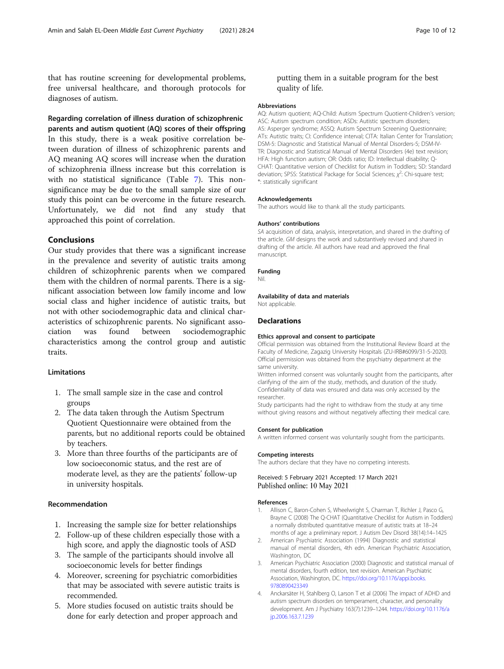<span id="page-9-0"></span>that has routine screening for developmental problems, free universal healthcare, and thorough protocols for diagnoses of autism.

Regarding correlation of illness duration of schizophrenic

parents and autism quotient (AQ) scores of their offspring In this study, there is a weak positive correlation between duration of illness of schizophrenic parents and AQ meaning AQ scores will increase when the duration of schizophrenia illness increase but this correlation is with no statistical significance (Table [7](#page-8-0)). This nonsignificance may be due to the small sample size of our study this point can be overcome in the future research. Unfortunately, we did not find any study that approached this point of correlation.

# Conclusions

Our study provides that there was a significant increase in the prevalence and severity of autistic traits among children of schizophrenic parents when we compared them with the children of normal parents. There is a significant association between low family income and low social class and higher incidence of autistic traits, but not with other sociodemographic data and clinical characteristics of schizophrenic parents. No significant association was found between sociodemographic characteristics among the control group and autistic traits.

#### Limitations

- 1. The small sample size in the case and control groups
- 2. The data taken through the Autism Spectrum Quotient Questionnaire were obtained from the parents, but no additional reports could be obtained by teachers.
- 3. More than three fourths of the participants are of low socioeconomic status, and the rest are of moderate level, as they are the patients' follow-up in university hospitals.

### Recommendation

- 1. Increasing the sample size for better relationships
- 2. Follow-up of these children especially those with a high score, and apply the diagnostic tools of ASD
- 3. The sample of the participants should involve all socioeconomic levels for better findings
- 4. Moreover, screening for psychiatric comorbidities that may be associated with severe autistic traits is recommended.
- 5. More studies focused on autistic traits should be done for early detection and proper approach and

# putting them in a suitable program for the best quality of life.

#### **Abbreviations**

AQ: Autism quotient; AQ-Child: Autism Spectrum Quotient-Children's version; ASC: Autism spectrum condition; ASDs: Autistic spectrum disorders; AS: Asperger syndrome; ASSQ: Autism Spectrum Screening Questionnaire; ATs: Autistic traits; CI: Confidence interval; CITA: Italian Center for Translation; DSM-5: Diagnostic and Statistical Manual of Mental Disorders-5; DSM-IV-TR: Diagnostic and Statistical Manual of Mental Disorders (4e) text revision; HFA: High function autism; OR: Odds ratio; ID: Intellectual disability; Q-CHAT: Quantitative version of Checklist for Autism in Toddlers; SD: Standard deviation; SPSS: Statistical Package for Social Sciences;  $\chi^2$ : Chi-square test; \*: statistically significant

#### Acknowledgements

The authors would like to thank all the study participants.

#### Authors' contributions

SA acquisition of data, analysis, interpretation, and shared in the drafting of the article. GM designs the work and substantively revised and shared in drafting of the article. All authors have read and approved the final manuscript.

#### Funding

Nil.

Availability of data and materials Not applicable.

#### **Declarations**

#### Ethics approval and consent to participate

Official permission was obtained from the Institutional Review Board at the Faculty of Medicine, Zagazig University Hospitals (ZU-IRB#6099/31-5-2020). Official permission was obtained from the psychiatry department at the same university.

Written informed consent was voluntarily sought from the participants, after clarifying of the aim of the study, methods, and duration of the study. Confidentiality of data was ensured and data was only accessed by the researcher.

Study participants had the right to withdraw from the study at any time without giving reasons and without negatively affecting their medical care.

#### Consent for publication

A written informed consent was voluntarily sought from the participants.

#### Competing interests

The authors declare that they have no competing interests.

Received: 5 February 2021 Accepted: 17 March 2021 Published online: 10 May 2021

#### References

- Allison C, Baron-Cohen S, Wheelwright S, Charman T, Richler J, Pasco G, Brayne C (2008) The Q-CHAT (Quantitative Checklist for Autism in Toddlers) a normally distributed quantitative measure of autistic traits at 18–24 months of age: a preliminary report. J Autism Dev Disord 38(14):14–1425
- 2. American Psychiatric Association (1994) Diagnostic and statistical manual of mental disorders, 4th edn. American Psychiatric Association, Washington, DC
- 3. American Psychiatric Association (2000) Diagnostic and statistical manual of mental disorders, fourth edition, text revision. American Psychiatric Association, Washington, DC. [https://doi.org/10.1176/appi.books.](https://doi.org/10.1176/appi.books.9780890423349) [9780890423349](https://doi.org/10.1176/appi.books.9780890423349)
- 4. Anckarsäter H, Stahlberg O, Larson T et al (2006) The impact of ADHD and autism spectrum disorders on temperament, character, and personality development. Am J Psychiatry 163(7):1239–1244. [https://doi.org/10.1176/a](https://doi.org/10.1176/ajp.2006.163.7.1239) [jp.2006.163.7.1239](https://doi.org/10.1176/ajp.2006.163.7.1239)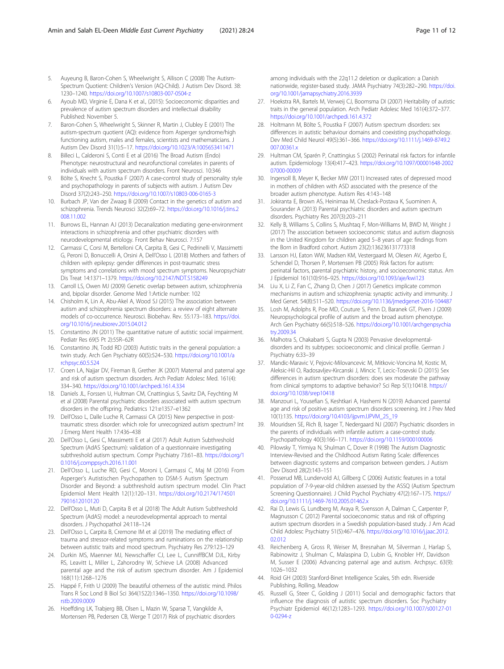- <span id="page-10-0"></span>5. Auyeung B, Baron-Cohen S, Wheelwright S, Allison C (2008) The Autism-Spectrum Quotient: Children's Version (AQ-Child). J Autism Dev Disord. 38: 1230–1240. <https://doi.org/10.1007/s10803-007-0504-z>
- 6. Ayoub MD, Virginie E, Dana K et al., (2015): Socioeconomic disparities and prevalence of autism spectrum disorders and intellectual disability Published: November 5.
- 7. Baron-Cohen S, Wheelwright S, Skinner R, Martin J, Clubley E (2001) The autism-spectrum quotient (AQ): evidence from Asperger syndrome/high functioning autism, males and females, scientists and mathematicians. J Autism Dev Disord 31(1):5–17. <https://doi.org/10.1023/A:1005653411471>
- 8. Billeci L, Calderoni S, Conti E et al (2016) The Broad Autism (Endo) Phenotype: neurostructural and neurofunctional correlates in parents of individuals with autism spectrum disorders. Front Neurosci. 10:346
- 9. Bölte S, Knecht S, Poustka F (2007) A case-control study of personality style and psychopathology in parents of subjects with autism. J Autism Dev Disord 37(2):243–250. <https://doi.org/10.1007/s10803-006-0165-3>
- 10. Burbach JP, Van der Zwaag B (2009) Contact in the genetics of autism and schizophrenia. Trends Neurosci 32(2):69–72. [https://doi.org/10.1016/j.tins.2](https://doi.org/10.1016/j.tins.2008.11.002) [008.11.002](https://doi.org/10.1016/j.tins.2008.11.002)
- 11. Burrows EL, Hannan AJ (2013) Decanalization mediating gene-environment interactions in schizophrenia and other psychiatric disorders with neurodevelopmental etiology. Front Behav Neurosci. 7:157
- 12. Carmassi C, Corsi M, Bertelloni CA, Carpita B, Gesi C, Pedrinelli V, Massimetti G, Peroni D, Bonuccelli A, Orsini A, Dell'Osso L (2018) Mothers and fathers of children with epilepsy: gender differences in post-traumatic stress symptoms and correlations with mood spectrum symptoms. Neuropsychiatr Dis Treat 14:1371–1379. <https://doi.org/10.2147/NDT.S158249>
- 13. Carroll LS, Owen MJ (2009) Genetic overlap between autism, schizophrenia and, bipolar disorder. Genome Med 1:Article number: 102
- 14. Chisholm K, Lin A, Abu-Akel A, Wood SJ (2015) The association between autism and schizophrenia spectrum disorders: a review of eight alternate models of co-occurrence. Neurosci. Biobehav. Rev. 55:173–183. [https://doi.](https://doi.org/10.1016/j.neubiorev.2015.04.012) [org/10.1016/j.neubiorev.2015.04.012](https://doi.org/10.1016/j.neubiorev.2015.04.012)
- 15. Constantino JN (2011) The quantitative nature of autistic social impairment. Pediatr Res 69(5 Pt 2):55R–62R
- 16. Constantino JN, Todd RD (2003) Autistic traits in the general population: a twin study. Arch Gen Psychiatry 60(5):524–530. [https://doi.org/10.1001/a](https://doi.org/10.1001/archpsyc.60.5.524) [rchpsyc.60.5.524](https://doi.org/10.1001/archpsyc.60.5.524)
- 17. Croen LA, Najjar DV, Fireman B, Grether JK (2007) Maternal and paternal age and risk of autism spectrum disorders. Arch Pediatr Adolesc Med. 161(4): 334–340. <https://doi.org/10.1001/archpedi.161.4.334>
- 18. Daniels JL, Forssen U, Hultman CM, Cnattingius S, Savitz DA, Feychting M et al (2008) Parental psychiatric disorders associated with autism spectrum disorders in the offspring. Pediatrics 121:e1357–e1362
- 19. Dell'Osso L, Dalle Luche R, Carmassi CA (2015) New perspective in posttraumatic stress disorder: which role for unrecognized autism spectrum? Int J Emerg Ment Health 17:436–438
- 20. Dell'Osso L, Gesi C, Massimetti E et al (2017) Adult Autism Subthreshold Spectrum (AdAS Spectrum): validation of a questionnaire investigating subthreshold autism spectrum. Compr Psychiatry 73:61–83. [https://doi.org/1](https://doi.org/10.1016/j.comppsych.2016.11.001) [0.1016/j.comppsych.2016.11.001](https://doi.org/10.1016/j.comppsych.2016.11.001)
- 21. Dell'Osso L, Luche RD, Gesi C, Moroni I, Carmassi C, Maj M (2016) From Asperger's Autistischen Psychopathen to DSM-5 Autism Spectrum Disorder and Beyond: a subthreshold autism spectrum model. Clin Pract Epidemiol Ment Health 12(1):120–131. [https://doi.org/10.2174/174501](https://doi.org/10.2174/1745017901612010120) [7901612010120](https://doi.org/10.2174/1745017901612010120)
- 22. Dell'Osso L, Muti D, Carpita B et al (2018) The Adult Autism Subthreshold Spectrum (AdAS) model: a neurodevelopmental approach to mental disorders. J Psychopathol 24:118–124
- 23. Dell'Osso L, Carpita B, Cremone IM et al (2019) The mediating effect of trauma and stressor-related symptoms and ruminations on the relationship between autistic traits and mood spectrum. Psychiatry Res 279:123–129
- 24. Durkin MS, Maenner MJ, Newschaffer CJ, Lee L, CunniffBCM DJL, Kirby RS, Leavitt L, Miller L, Zahorodny W, Schieve LA (2008) Advanced parental age and the risk of autism spectrum disorder. Am J Epidemiol 168(11):1268–1276
- 25. Happé F, Frith U (2009) The beautiful otherness of the autistic mind. Philos Trans R Soc Lond B Biol Sci 364(1522):1346–1350. [https://doi.org/10.1098/](https://doi.org/10.1098/rstb.2009.0009) [rstb.2009.0009](https://doi.org/10.1098/rstb.2009.0009)
- 26. Hoeffding LK, Trabjerg BB, Olsen L, Mazin W, Sparsø T, Vangkilde A, Mortensen PB, Pedersen CB, Werge T (2017) Risk of psychiatric disorders

among individuals with the 22q11.2 deletion or duplication: a Danish nationwide, register-based study. JAMA Psychiatry 74(3):282–290. [https://doi.](https://doi.org/10.1001/jamapsychiatry.2016.3939) [org/10.1001/jamapsychiatry.2016.3939](https://doi.org/10.1001/jamapsychiatry.2016.3939)

- 27. Hoekstra RA, Bartels M, Verweij CJ, Boomsma DI (2007) Heritability of autistic traits in the general population. Arch Pediatr Adolesc Med 161(4):372–377. <https://doi.org/10.1001/archpedi.161.4.372>
- 28. Holtmann M, Bölte S, Poustka F (2007) Autism spectrum disorders: sex differences in autistic behaviour domains and coexisting psychopathology. Dev Med Child Neurol 49(5):361–366. [https://doi.org/10.1111/j.1469-8749.2](https://doi.org/10.1111/j.1469-8749.2007.00361.x) [007.00361.x](https://doi.org/10.1111/j.1469-8749.2007.00361.x)
- 29. Hultman CM, Sparén P, Cnattingius S (2002) Perinatal risk factors for infantile autism. Epidemiology 13(4):417–423. [https://doi.org/10.1097/00001648-2002](https://doi.org/10.1097/00001648-200207000-00009) [07000-00009](https://doi.org/10.1097/00001648-200207000-00009)
- 30. Ingersoll B, Meyer K, Becker MW (2011) Increased rates of depressed mood in mothers of children with ASD associated with the presence of the broader autism phenotype. Autism Res 4:143–148
- 31. Jokiranta E, Brown AS, Heinimaa M, Cheslack-Postava K, Suominen A, Sourander A (2013) Parental psychiatric disorders and autism spectrum disorders. Psychiatry Res 207(3):203–211
- 32. Kelly B, Williams S, Collins S, Mushtaq F, Mon-Williams M, BWD M, Wright J (2017) The association between socioeconomic status and autism diagnosis in the United Kingdom for children aged 5–8 years of age: findings from the Born in Bradford cohort. Autism 23(2):136236131773318
- 33. Larsson HJ, Eaton WW, Madsen KM, Vestergaard M, Olesen AV, Agerbo E, Schendel D, Thorsen P, Mortensen PB (2005) Risk factors for autism: perinatal factors, parental psychiatric history, and socioeconomic status. Am J Epidemiol 161(10):916–925. <https://doi.org/10.1093/aje/kwi123>
- 34. Liu X, Li Z, Fan C, Zhang D, Chen J (2017) Genetics implicate common mechanisms in autism and schizophrenia: synaptic activity and immunity. J Med Genet. 54(8):511–520. <https://doi.org/10.1136/jmedgenet-2016-104487>
- 35. Losh M, Adolphs R, Poe MD, Couture S, Penn D, Baranek GT, Piven J (2009) Neuropsychological profile of autism and the broad autism phenotype. Arch Gen Psychiatry 66(5):518–526. [https://doi.org/10.1001/archgenpsychia](https://doi.org/10.1001/archgenpsychiatry.2009.34) [try.2009.34](https://doi.org/10.1001/archgenpsychiatry.2009.34)
- 36. Malhotra S, Chakabarti S, Gupta N (2003) Pervasive developmentaldisorders and its subtypes: socioeconomic and clinical profile. German J Psychiatry 6:33–39
- 37. Mandic-Maravic V, Pejovic-Milovancevic M, Mitkovic-Voncina M, Kostic M, Aleksic-Hil O, Radosavljev-Kircanski J, Mincic T, Lecic-Tosevski D (2015) Sex differences in autism spectrum disorders: does sex moderate the pathway from clinical symptoms to adaptive behavior? Sci Rep 5(1):10418. [https://](https://doi.org/10.1038/srep10418) [doi.org/10.1038/srep10418](https://doi.org/10.1038/srep10418)
- 38. Manzouri L, Yousefian S, Keshtkari A, Hashemi N (2019) Advanced parental age and risk of positive autism spectrum disorders screening. Int J Prev Med 10(1):135. [https://doi.org/10.4103/ijpvm.IJPVM\\_25\\_19](https://doi.org/10.4103/ijpvm.IJPVM_25_19)
- 39. Mouridsen SE, Rich B, Isager T, Nedergaard NJ (2007) Psychiatric disorders in the parents of individuals with infantile autism: a case-control study. Psychopathology 40(3):166–171. <https://doi.org/10.1159/000100006>
- 40. Pilowsky T, Yirmiya N, Shulman C, Dover R (1998) The Autism Diagnostic Interview-Revised and the Childhood Autism Rating Scale: differences between diagnostic systems and comparison between genders. J Autism Dev Disord 28(2):143–151
- 41. Posserud MB, Lundervold AJ, Gillberg C (2006) Autistic features in a total population of 7-9-year-old children assessed by the ASSQ (Autism Spectrum .<br>Screening Questionnaire). J Child Psychol Psychiatry 47(2):167-175. [https://](https://doi.org/10.1111/j.1469-7610.2005.01462.x) [doi.org/10.1111/j.1469-7610.2005.01462.x](https://doi.org/10.1111/j.1469-7610.2005.01462.x)
- 42. Rai D, Lewis G, Lundberg M, Araya R, Svensson A, Dalman C, Carpenter P, Magnusson C (2012) Parental socioeconomic status and risk of offspring autism spectrum disorders in a Swedish population-based study. J Am Acad Child Adolesc Psychiatry 51(5):467–476. [https://doi.org/10.1016/j.jaac.2012.](https://doi.org/10.1016/j.jaac.2012.02.012) [02.012](https://doi.org/10.1016/j.jaac.2012.02.012)
- 43. Reichenberg A, Gross R, Weiser M, Bresnahan M, Silverman J, Harlap S, Rabinowitz J, Shulman C, Malaspina D, Lubin G, Knobler HY, Davidson M, Susser E (2006) Advancing paternal age and autism. Archpsyc. 63(9): 1026–1032
- 44. Roid GH (2003) Stanford-Binet Intelligence Scales, 5th edn. Riverside Publishing, Rolling, Meadow
- 45. Russell G, Steer C, Golding J (2011) Social and demographic factors that influence the diagnosis of autistic spectrum disorders. Soc Psychiatry Psychiatr Epidemiol 46(12):1283–1293. [https://doi.org/10.1007/s00127-01](https://doi.org/10.1007/s00127-010-0294-z) [0-0294-z](https://doi.org/10.1007/s00127-010-0294-z)